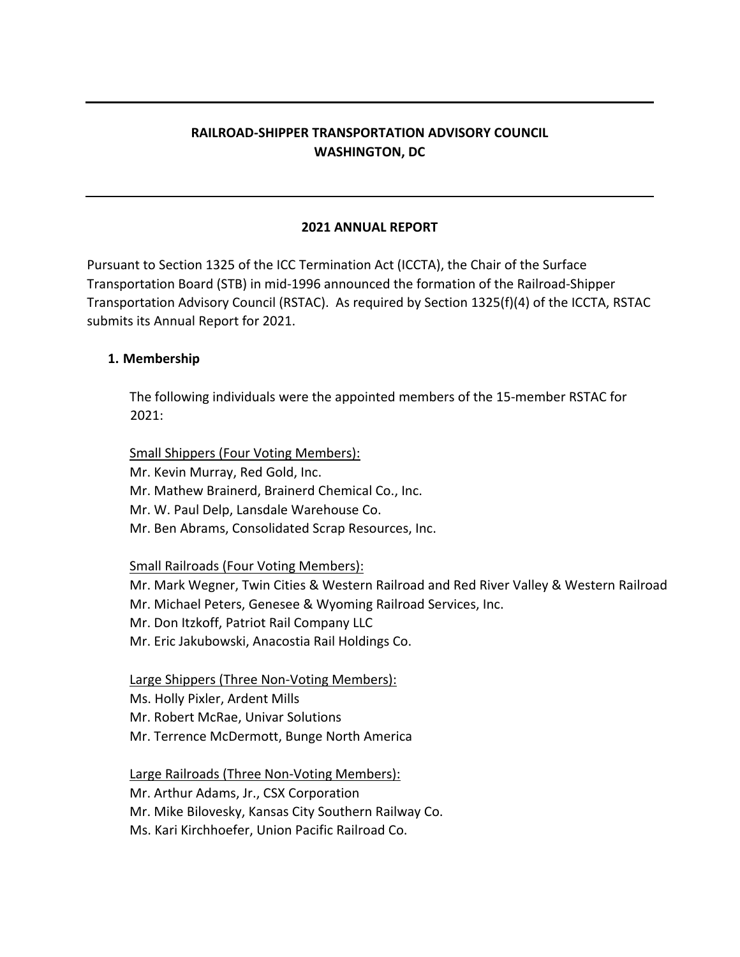# **RAILROAD-SHIPPER TRANSPORTATION ADVISORY COUNCIL WASHINGTON, DC**

### **2021 ANNUAL REPORT**

Pursuant to Section 1325 of the ICC Termination Act (ICCTA), the Chair of the Surface Transportation Board (STB) in mid-1996 announced the formation of the Railroad-Shipper Transportation Advisory Council (RSTAC). As required by Section 1325(f)(4) of the ICCTA, RSTAC submits its Annual Report for 2021.

### **1. Membership**

The following individuals were the appointed members of the 15-member RSTAC for  $2021:$ 

Small Shippers (Four Voting Members):

Mr. Kevin Murray, Red Gold, Inc.

Mr. Mathew Brainerd, Brainerd Chemical Co., Inc.

Mr. W. Paul Delp, Lansdale Warehouse Co.

Mr. Ben Abrams, Consolidated Scrap Resources, Inc.

Small Railroads (Four Voting Members):

Mr. Mark Wegner, Twin Cities & Western Railroad and Red River Valley & Western Railroad

Mr. Michael Peters, Genesee & Wyoming Railroad Services, Inc.

Mr. Don Itzkoff, Patriot Rail Company LLC

Mr. Eric Jakubowski, Anacostia Rail Holdings Co.

Large Shippers (Three Non-Voting Members):

Ms. Holly Pixler, Ardent Mills

Mr. Robert McRae, Univar Solutions

Mr. Terrence McDermott, Bunge North America

Large Railroads (Three Non-Voting Members):

Mr. Arthur Adams, Jr., CSX Corporation

Mr. Mike Bilovesky, Kansas City Southern Railway Co.

Ms. Kari Kirchhoefer, Union Pacific Railroad Co.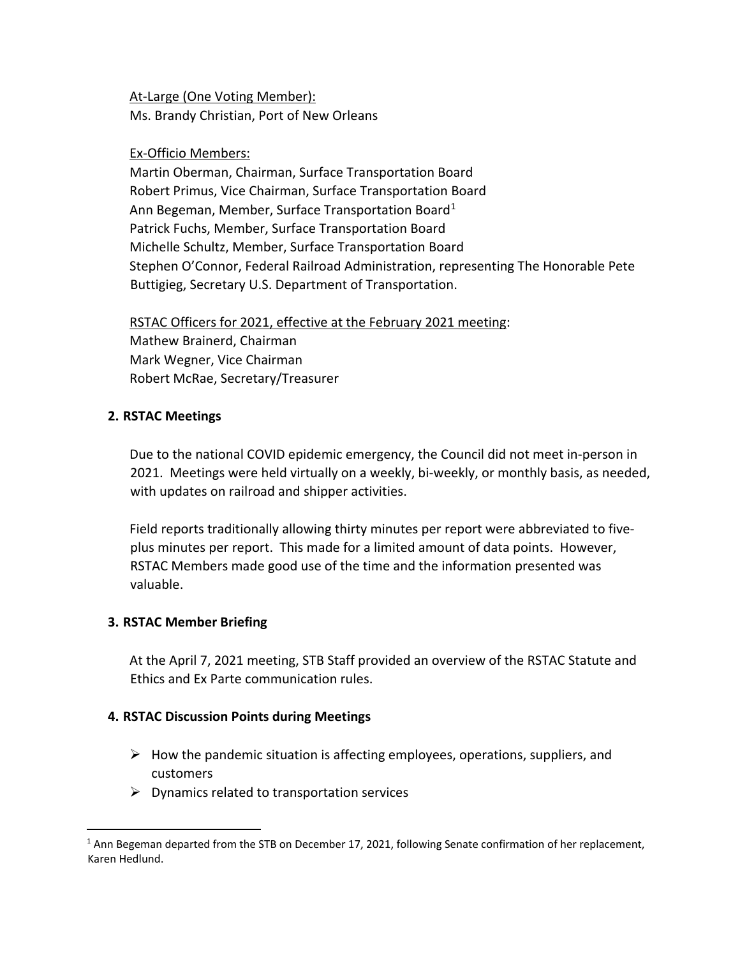At-Large (One Voting Member): Ms. Brandy Christian, Port of New Orleans

## Ex-Officio Members:

Martin Oberman, Chairman, Surface Transportation Board Robert Primus, Vice Chairman, Surface Transportation Board Ann Begeman, Member, Surface Transportation Board<sup>[1](#page-1-0)</sup> Patrick Fuchs, Member, Surface Transportation Board Michelle Schultz, Member, Surface Transportation Board Stephen O'Connor, Federal Railroad Administration, representing The Honorable Pete Buttigieg, Secretary U.S. Department of Transportation.

RSTAC Officers for 2021, effective at the February 2021 meeting: Mathew Brainerd, Chairman Mark Wegner, Vice Chairman Robert McRae, Secretary/Treasurer

## **2. RSTAC Meetings**

Due to the national COVID epidemic emergency, the Council did not meet in-person in 2021. Meetings were held virtually on a weekly, bi-weekly, or monthly basis, as needed, with updates on railroad and shipper activities.

Field reports traditionally allowing thirty minutes per report were abbreviated to fiveplus minutes per report. This made for a limited amount of data points. However, RSTAC Members made good use of the time and the information presented was valuable.

### **3. RSTAC Member Briefing**

At the April 7, 2021 meeting, STB Staff provided an overview of the RSTAC Statute and Ethics and Ex Parte communication rules.

## **4. RSTAC Discussion Points during Meetings**

- $\triangleright$  How the pandemic situation is affecting employees, operations, suppliers, and customers
- $\triangleright$  Dynamics related to transportation services

<span id="page-1-0"></span><sup>&</sup>lt;sup>1</sup> Ann Begeman departed from the STB on December 17, 2021, following Senate confirmation of her replacement, Karen Hedlund.